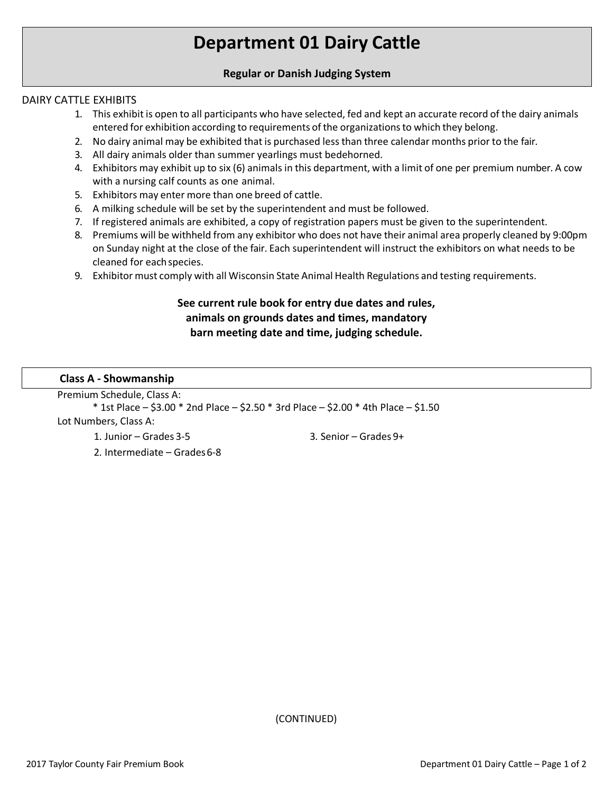# **Department 01 Dairy Cattle**

## **Regular or Danish Judging System**

## DAIRY CATTLE EXHIBITS

- 1. This exhibit is open to all participants who have selected, fed and kept an accurate record of the dairy animals entered for exhibition according to requirements of the organizationsto which they belong.
- 2. No dairy animal may be exhibited that is purchased less than three calendar months prior to the fair.
- 3. All dairy animals older than summer yearlings must bedehorned.
- 4. Exhibitors may exhibit up to six (6) animalsin this department, with a limit of one per premium number. A cow with a nursing calf counts as one animal.
- 5. Exhibitors may enter more than one breed of cattle.
- 6. A milking schedule will be set by the superintendent and must be followed.
- 7. If registered animals are exhibited, a copy of registration papers must be given to the superintendent.
- 8. Premiums will be withheld from any exhibitor who does not have their animal area properly cleaned by 9:00pm on Sunday night at the close of the fair. Each superintendent will instruct the exhibitors on what needs to be cleaned for eachspecies.
- 9. Exhibitor must comply with all Wisconsin State Animal Health Regulations and testing requirements.

## **See current rule book for entry due dates and rules, animals on grounds dates and times, mandatory barn meeting date and time, judging schedule.**

## **Class A - Showmanship**

Premium Schedule, Class A:

\* 1st Place – \$3.00 \* 2nd Place – \$2.50 \* 3rd Place – \$2.00 \* 4th Place – \$1.50 Lot Numbers, Class A:

1. Junior – Grades 3-5

3. Senior – Grades 9+

2. Intermediate – Grades6-8

(CONTINUED)